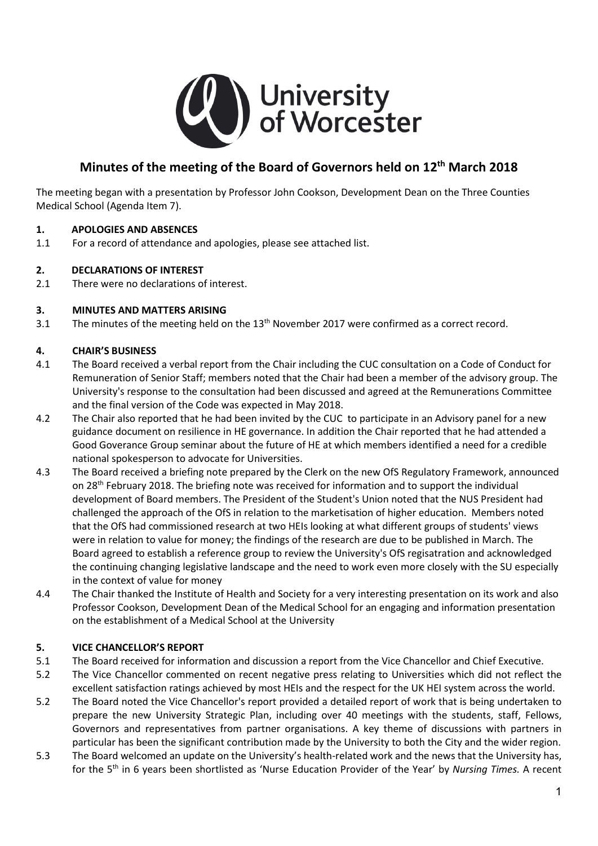

# **Minutes of the meeting of the Board of Governors held on 12th March 2018**

The meeting began with a presentation by Professor John Cookson, Development Dean on the Three Counties Medical School (Agenda Item 7).

#### **1. APOLOGIES AND ABSENCES**

1.1 For a record of attendance and apologies, please see attached list.

#### **2. DECLARATIONS OF INTEREST**

2.1 There were no declarations of interest.

#### **3. MINUTES AND MATTERS ARISING**

3.1 The minutes of the meeting held on the 13<sup>th</sup> November 2017 were confirmed as a correct record.

#### **4. CHAIR'S BUSINESS**

- 4.1 The Board received a verbal report from the Chair including the CUC consultation on a Code of Conduct for Remuneration of Senior Staff; members noted that the Chair had been a member of the advisory group. The University's response to the consultation had been discussed and agreed at the Remunerations Committee and the final version of the Code was expected in May 2018.
- 4.2 The Chair also reported that he had been invited by the CUC to participate in an Advisory panel for a new guidance document on resilience in HE governance. In addition the Chair reported that he had attended a Good Goverance Group seminar about the future of HE at which members identified a need for a credible national spokesperson to advocate for Universities.
- 4.3 The Board received a briefing note prepared by the Clerk on the new OfS Regulatory Framework, announced on  $28<sup>th</sup>$  February 2018. The briefing note was received for information and to support the individual development of Board members. The President of the Student's Union noted that the NUS President had challenged the approach of the OfS in relation to the marketisation of higher education. Members noted that the OfS had commissioned research at two HEIs looking at what different groups of students' views were in relation to value for money; the findings of the research are due to be published in March. The Board agreed to establish a reference group to review the University's OfS regisatration and acknowledged the continuing changing legislative landscape and the need to work even more closely with the SU especially in the context of value for money
- 4.4 The Chair thanked the Institute of Health and Society for a very interesting presentation on its work and also Professor Cookson, Development Dean of the Medical School for an engaging and information presentation on the establishment of a Medical School at the University

#### **5. VICE CHANCELLOR'S REPORT**

- 5.1 The Board received for information and discussion a report from the Vice Chancellor and Chief Executive.
- 5.2 The Vice Chancellor commented on recent negative press relating to Universities which did not reflect the excellent satisfaction ratings achieved by most HEIs and the respect for the UK HEI system across the world.
- 5.2 The Board noted the Vice Chancellor's report provided a detailed report of work that is being undertaken to prepare the new University Strategic Plan, including over 40 meetings with the students, staff, Fellows, Governors and representatives from partner organisations. A key theme of discussions with partners in particular has been the significant contribution made by the University to both the City and the wider region.
- 5.3 The Board welcomed an update on the University's health-related work and the news that the University has, for the 5th in 6 years been shortlisted as 'Nurse Education Provider of the Year' by *Nursing Times.* A recent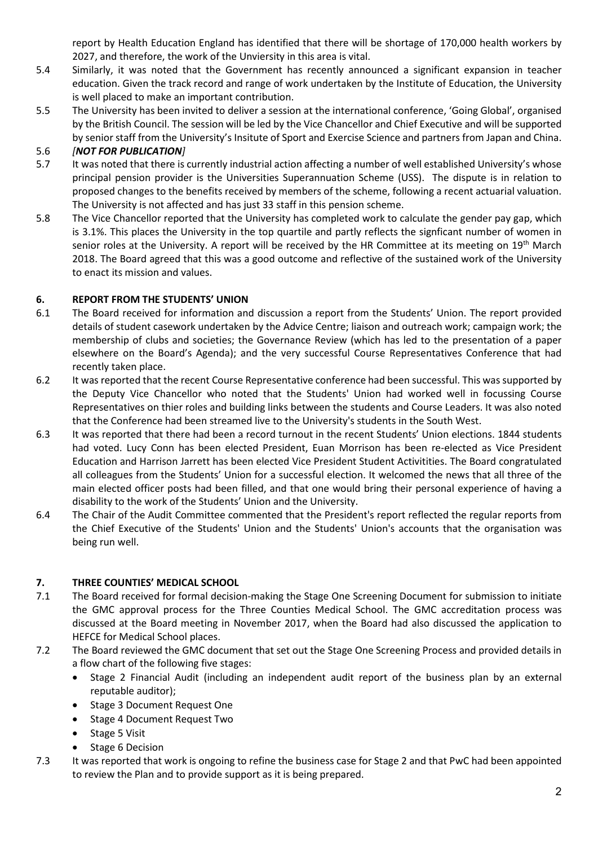report by Health Education England has identified that there will be shortage of 170,000 health workers by 2027, and therefore, the work of the Unviersity in this area is vital.

- 5.4 Similarly, it was noted that the Government has recently announced a significant expansion in teacher education. Given the track record and range of work undertaken by the Institute of Education, the University is well placed to make an important contribution.
- 5.5 The University has been invited to deliver a session at the international conference, 'Going Global', organised by the British Council. The session will be led by the Vice Chancellor and Chief Executive and will be supported by senior staff from the University's Insitute of Sport and Exercise Science and partners from Japan and China.

# 5.6 *[NOT FOR PUBLICATION]*

- 5.7 It was noted that there is currently industrial action affecting a number of well established University's whose principal pension provider is the Universities Superannuation Scheme (USS). The dispute is in relation to proposed changes to the benefits received by members of the scheme, following a recent actuarial valuation. The University is not affected and has just 33 staff in this pension scheme.
- 5.8 The Vice Chancellor reported that the University has completed work to calculate the gender pay gap, which is 3.1%. This places the University in the top quartile and partly reflects the signficant number of women in senior roles at the University. A report will be received by the HR Committee at its meeting on 19<sup>th</sup> March 2018. The Board agreed that this was a good outcome and reflective of the sustained work of the University to enact its mission and values.

# **6. REPORT FROM THE STUDENTS' UNION**

- 6.1 The Board received for information and discussion a report from the Students' Union. The report provided details of student casework undertaken by the Advice Centre; liaison and outreach work; campaign work; the membership of clubs and societies; the Governance Review (which has led to the presentation of a paper elsewhere on the Board's Agenda); and the very successful Course Representatives Conference that had recently taken place.
- 6.2 It was reported that the recent Course Representative conference had been successful. This was supported by the Deputy Vice Chancellor who noted that the Students' Union had worked well in focussing Course Representatives on thier roles and building links between the students and Course Leaders. It was also noted that the Conference had been streamed live to the University's students in the South West.
- 6.3 It was reported that there had been a record turnout in the recent Students' Union elections. 1844 students had voted. Lucy Conn has been elected President, Euan Morrison has been re-elected as Vice President Education and Harrison Jarrett has been elected Vice President Student Activitities. The Board congratulated all colleagues from the Students' Union for a successful election. It welcomed the news that all three of the main elected officer posts had been filled, and that one would bring their personal experience of having a disability to the work of the Students' Union and the University.
- 6.4 The Chair of the Audit Committee commented that the President's report reflected the regular reports from the Chief Executive of the Students' Union and the Students' Union's accounts that the organisation was being run well.

#### **7. THREE COUNTIES' MEDICAL SCHOOL**

- 7.1 The Board received for formal decision-making the Stage One Screening Document for submission to initiate the GMC approval process for the Three Counties Medical School. The GMC accreditation process was discussed at the Board meeting in November 2017, when the Board had also discussed the application to HEFCE for Medical School places.
- 7.2 The Board reviewed the GMC document that set out the Stage One Screening Process and provided details in a flow chart of the following five stages:
	- Stage 2 Financial Audit (including an independent audit report of the business plan by an external reputable auditor);
	- Stage 3 Document Request One
	- Stage 4 Document Request Two
	- Stage 5 Visit
	- Stage 6 Decision
- 7.3 It was reported that work is ongoing to refine the business case for Stage 2 and that PwC had been appointed to review the Plan and to provide support as it is being prepared.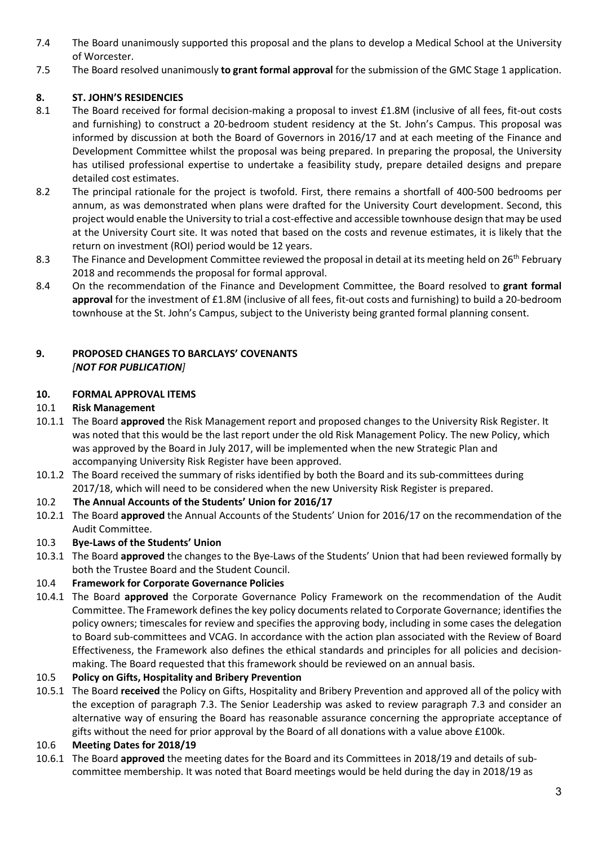- 7.4 The Board unanimously supported this proposal and the plans to develop a Medical School at the University of Worcester.
- 7.5 The Board resolved unanimously **to grant formal approval** for the submission of the GMC Stage 1 application.

# **8. ST. JOHN'S RESIDENCIES**

- 8.1 The Board received for formal decision-making a proposal to invest £1.8M (inclusive of all fees, fit-out costs and furnishing) to construct a 20-bedroom student residency at the St. John's Campus. This proposal was informed by discussion at both the Board of Governors in 2016/17 and at each meeting of the Finance and Development Committee whilst the proposal was being prepared. In preparing the proposal, the University has utilised professional expertise to undertake a feasibility study, prepare detailed designs and prepare detailed cost estimates.
- 8.2 The principal rationale for the project is twofold. First, there remains a shortfall of 400-500 bedrooms per annum, as was demonstrated when plans were drafted for the University Court development. Second, this project would enable the University to trial a cost-effective and accessible townhouse design that may be used at the University Court site. It was noted that based on the costs and revenue estimates, it is likely that the return on investment (ROI) period would be 12 years.
- 8.3 The Finance and Development Committee reviewed the proposal in detail at its meeting held on 26<sup>th</sup> February 2018 and recommends the proposal for formal approval.
- 8.4 On the recommendation of the Finance and Development Committee, the Board resolved to **grant formal approval** for the investment of £1.8M (inclusive of all fees, fit-out costs and furnishing) to build a 20-bedroom townhouse at the St. John's Campus, subject to the Univeristy being granted formal planning consent.

#### **9. PROPOSED CHANGES TO BARCLAYS' COVENANTS** *[NOT FOR PUBLICATION]*

#### **10. FORMAL APPROVAL ITEMS**

#### 10.1 **Risk Management**

- 10.1.1 The Board **approved** the Risk Management report and proposed changes to the University Risk Register. It was noted that this would be the last report under the old Risk Management Policy. The new Policy, which was approved by the Board in July 2017, will be implemented when the new Strategic Plan and accompanying University Risk Register have been approved.
- 10.1.2 The Board received the summary of risks identified by both the Board and its sub-committees during 2017/18, which will need to be considered when the new University Risk Register is prepared.
- 10.2 **The Annual Accounts of the Students' Union for 2016/17**
- 10.2.1 The Board **approved** the Annual Accounts of the Students' Union for 2016/17 on the recommendation of the Audit Committee.

#### 10.3 **Bye-Laws of the Students' Union**

10.3.1 The Board **approved** the changes to the Bye-Laws of the Students' Union that had been reviewed formally by both the Trustee Board and the Student Council.

#### 10.4 **Framework for Corporate Governance Policies**

10.4.1 The Board **approved** the Corporate Governance Policy Framework on the recommendation of the Audit Committee. The Framework defines the key policy documentsrelated to Corporate Governance; identifies the policy owners; timescales for review and specifies the approving body, including in some cases the delegation to Board sub-committees and VCAG. In accordance with the action plan associated with the Review of Board Effectiveness, the Framework also defines the ethical standards and principles for all policies and decisionmaking. The Board requested that this framework should be reviewed on an annual basis.

#### 10.5 **Policy on Gifts, Hospitality and Bribery Prevention**

10.5.1 The Board **received** the Policy on Gifts, Hospitality and Bribery Prevention and approved all of the policy with the exception of paragraph 7.3. The Senior Leadership was asked to review paragraph 7.3 and consider an alternative way of ensuring the Board has reasonable assurance concerning the appropriate acceptance of gifts without the need for prior approval by the Board of all donations with a value above £100k.

#### 10.6 **Meeting Dates for 2018/19**

10.6.1 The Board **approved** the meeting dates for the Board and its Committees in 2018/19 and details of subcommittee membership. It was noted that Board meetings would be held during the day in 2018/19 as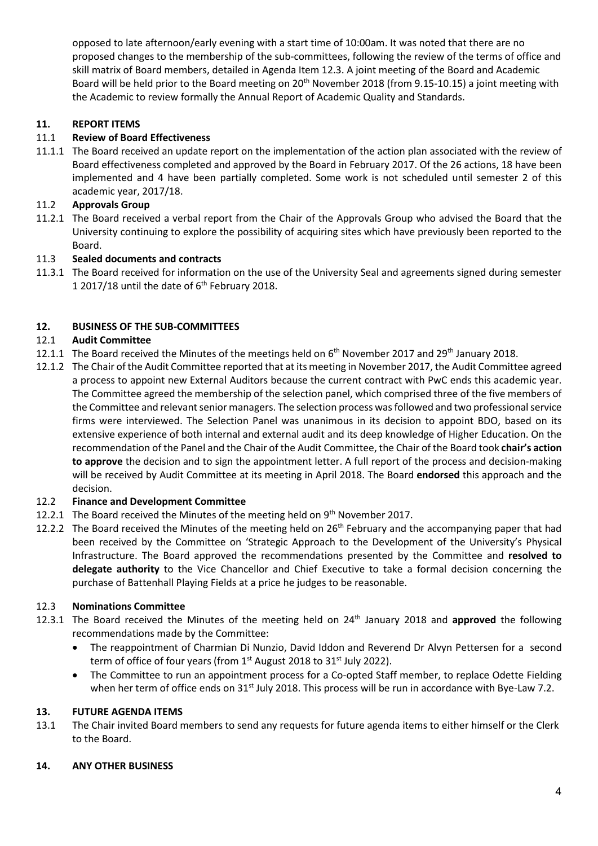opposed to late afternoon/early evening with a start time of 10:00am. It was noted that there are no proposed changes to the membership of the sub-committees, following the review of the terms of office and skill matrix of Board members, detailed in Agenda Item 12.3. A joint meeting of the Board and Academic Board will be held prior to the Board meeting on 20<sup>th</sup> November 2018 (from 9.15-10.15) a joint meeting with the Academic to review formally the Annual Report of Academic Quality and Standards.

# **11. REPORT ITEMS**

# 11.1 **Review of Board Effectiveness**

11.1.1 The Board received an update report on the implementation of the action plan associated with the review of Board effectiveness completed and approved by the Board in February 2017. Of the 26 actions, 18 have been implemented and 4 have been partially completed. Some work is not scheduled until semester 2 of this academic year, 2017/18.

# 11.2 **Approvals Group**

11.2.1 The Board received a verbal report from the Chair of the Approvals Group who advised the Board that the University continuing to explore the possibility of acquiring sites which have previously been reported to the Board.

# 11.3 **Sealed documents and contracts**

11.3.1 The Board received for information on the use of the University Seal and agreements signed during semester 1 2017/18 until the date of  $6<sup>th</sup>$  February 2018.

# **12. BUSINESS OF THE SUB-COMMITTEES**

# 12.1 **Audit Committee**

- 12.1.1 The Board received the Minutes of the meetings held on  $6<sup>th</sup>$  November 2017 and 29<sup>th</sup> January 2018.
- 12.1.2 The Chair of the Audit Committee reported that at its meeting in November 2017, the Audit Committee agreed a process to appoint new External Auditors because the current contract with PwC ends this academic year. The Committee agreed the membership of the selection panel, which comprised three of the five members of the Committee and relevant senior managers. The selection process was followed and two professional service firms were interviewed. The Selection Panel was unanimous in its decision to appoint BDO, based on its extensive experience of both internal and external audit and its deep knowledge of Higher Education. On the recommendation of the Panel and the Chair of the Audit Committee, the Chair of the Board took **chair's action to approve** the decision and to sign the appointment letter. A full report of the process and decision-making will be received by Audit Committee at its meeting in April 2018. The Board **endorsed** this approach and the decision.

#### 12.2 **Finance and Development Committee**

- 12.2.1 The Board received the Minutes of the meeting held on 9<sup>th</sup> November 2017.
- 12.2.2 The Board received the Minutes of the meeting held on 26<sup>th</sup> February and the accompanying paper that had been received by the Committee on 'Strategic Approach to the Development of the University's Physical Infrastructure. The Board approved the recommendations presented by the Committee and **resolved to delegate authority** to the Vice Chancellor and Chief Executive to take a formal decision concerning the purchase of Battenhall Playing Fields at a price he judges to be reasonable.

#### 12.3 **Nominations Committee**

- 12.3.1 The Board received the Minutes of the meeting held on 24<sup>th</sup> January 2018 and approved the following recommendations made by the Committee:
	- The reappointment of Charmian Di Nunzio, David Iddon and Reverend Dr Alvyn Pettersen for a second term of office of four years (from 1<sup>st</sup> August 2018 to 31<sup>st</sup> July 2022).
	- The Committee to run an appointment process for a Co-opted Staff member, to replace Odette Fielding when her term of office ends on 31<sup>st</sup> July 2018. This process will be run in accordance with Bye-Law 7.2.

#### **13. FUTURE AGENDA ITEMS**

13.1 The Chair invited Board members to send any requests for future agenda items to either himself or the Clerk to the Board.

#### **14. ANY OTHER BUSINESS**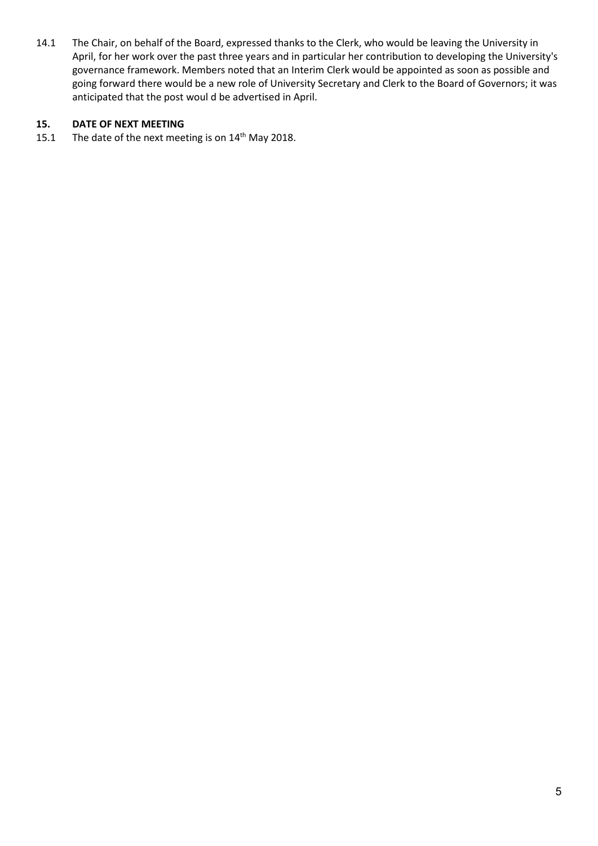14.1 The Chair, on behalf of the Board, expressed thanks to the Clerk, who would be leaving the University in April, for her work over the past three years and in particular her contribution to developing the University's governance framework. Members noted that an Interim Clerk would be appointed as soon as possible and going forward there would be a new role of University Secretary and Clerk to the Board of Governors; it was anticipated that the post woul d be advertised in April.

# **15. DATE OF NEXT MEETING**

15.1 The date of the next meeting is on 14<sup>th</sup> May 2018.